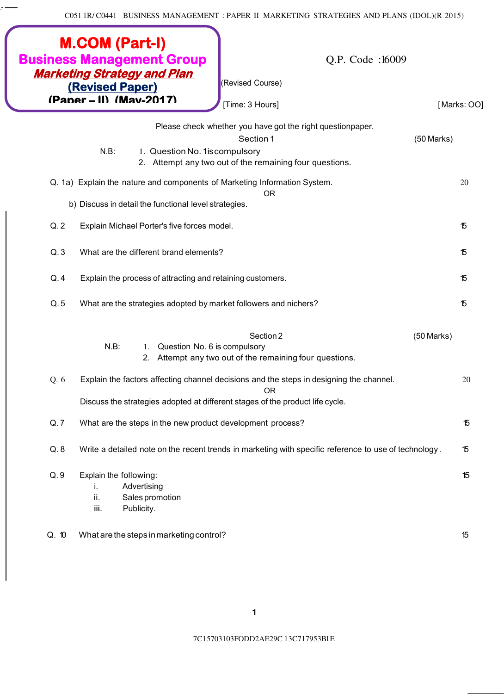C051 1R/ C0441 BUSINESS MANAGEMENT : PAPER II MARKETING STRATEGIES AND PLANS (IDOL)(R 2015)

 $\cdot$   $-$ 

|       | <b>M.COM (Part-I)</b><br><b>Business Management Group</b><br>Q.P. Code:16009<br><b>Marketing Strategy and Plan</b><br>(Revised Course)<br><b>(Revised Paper)</b><br>(Paper – II) (Mav-2017)<br>[Time: 3 Hours] |              | [Marks: OO] |
|-------|----------------------------------------------------------------------------------------------------------------------------------------------------------------------------------------------------------------|--------------|-------------|
|       | Please check whether you have got the right questionpaper.<br>Section 1<br>$N.B$ :<br>1. Question No. 1 is compulsory                                                                                          | $(50$ Marks) |             |
|       | 2. Attempt any two out of the remaining four questions.                                                                                                                                                        |              |             |
|       | Q. 1a) Explain the nature and components of Marketing Information System.<br><b>OR</b>                                                                                                                         |              | 20          |
|       | b) Discuss in detail the functional level strategies.                                                                                                                                                          |              |             |
| Q.2   | Explain Michael Porter's five forces model.                                                                                                                                                                    |              | 15          |
| Q.3   | What are the different brand elements?                                                                                                                                                                         |              | 15          |
| Q.4   | Explain the process of attracting and retaining customers.                                                                                                                                                     |              | 15          |
| Q.5   | What are the strategies adopted by market followers and nichers?                                                                                                                                               |              | 15          |
|       | Section 2<br>$N.B$ :<br>Question No. 6 is compulsory<br>1.<br>2. Attempt any two out of the remaining four questions.                                                                                          | $(50$ Marks) |             |
| Q. 6  | Explain the factors affecting channel decisions and the steps in designing the channel.<br><b>OR</b>                                                                                                           |              | 20          |
|       | Discuss the strategies adopted at different stages of the product life cycle.                                                                                                                                  |              |             |
| Q.7   | What are the steps in the new product development process?                                                                                                                                                     |              | 15          |
| Q.8   | Write a detailed note on the recent trends in marketing with specific reference to use of technology.                                                                                                          |              | 15          |
| Q.9   | Explain the following:<br>Advertising<br>Ι.<br>ii.<br>Sales promotion<br>iii.<br>Publicity.                                                                                                                    |              | 15          |
| Q. 10 | What are the steps in marketing control?                                                                                                                                                                       |              | 15          |